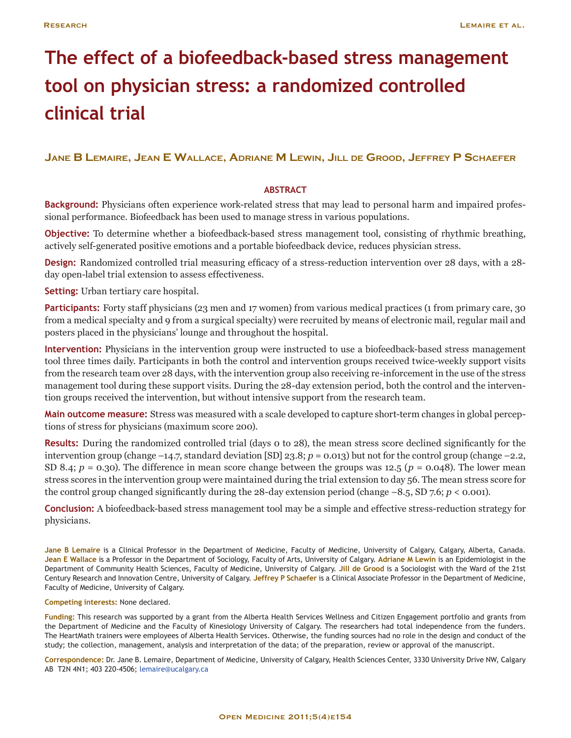# **The effect of a biofeedback-based stress management tool on physician stress: a randomized controlled clinical trial**

# **Jane B Lemaire, Jean E Wallace, Adriane M Lewin, Jill de Grood, Jeffrey P Schaefer**

# **ABSTRACT**

**Background:** Physicians often experience work-related stress that may lead to personal harm and impaired professional performance. Biofeedback has been used to manage stress in various populations.

**Objective:** To determine whether a biofeedback-based stress management tool, consisting of rhythmic breathing, actively self-generated positive emotions and a portable biofeedback device, reduces physician stress.

**Design:** Randomized controlled trial measuring efficacy of a stress-reduction intervention over 28 days, with a 28 day open-label trial extension to assess effectiveness.

**Setting:** Urban tertiary care hospital.

**Participants:** Forty staff physicians (23 men and 17 women) from various medical practices (1 from primary care, 30 from a medical specialty and 9 from a surgical specialty) were recruited by means of electronic mail, regular mail and posters placed in the physicians' lounge and throughout the hospital.

**Intervention:** Physicians in the intervention group were instructed to use a biofeedback-based stress management tool three times daily. Participants in both the control and intervention groups received twice-weekly support visits from the research team over 28 days, with the intervention group also receiving re-inforcement in the use of the stress management tool during these support visits. During the 28-day extension period, both the control and the intervention groups received the intervention, but without intensive support from the research team.

**Main outcome measure:** Stress was measured with a scale developed to capture short-term changes in global perceptions of stress for physicians (maximum score 200).

**Results:** During the randomized controlled trial (days 0 to 28), the mean stress score declined significantly for the intervention group (change –14.7, standard deviation [SD] 23.8; *p* = 0.013) but not for the control group (change –2.2, SD 8.4; *p* = 0.30). The difference in mean score change between the groups was 12.5 (*p* = 0.048). The lower mean stress scores in the intervention group were maintained during the trial extension to day 56. The mean stress score for the control group changed significantly during the 28-day extension period (change  $-8.5$ , SD 7.6;  $p < 0.001$ ).

**Conclusion:** A biofeedback-based stress management tool may be a simple and effective stress-reduction strategy for physicians.

**Jane B Lemaire** is a Clinical Professor in the Department of Medicine, Faculty of Medicine, University of Calgary, Calgary, Alberta, Canada. **Jean E Wallace** is a Professor in the Department of Sociology, Faculty of Arts, University of Calgary. **Adriane M Lewin** is an Epidemiologist in the Department of Community Health Sciences, Faculty of Medicine, University of Calgary. **Jill de Grood** is a Sociologist with the Ward of the 21st Century Research and Innovation Centre, University of Calgary. **Jeffrey P Schaefer** is a Clinical Associate Professor in the Department of Medicine, Faculty of Medicine, University of Calgary.

### **Competing interests:** None declared.

**Funding:** This research was supported by a grant from the Alberta Health Services Wellness and Citizen Engagement portfolio and grants from the Department of Medicine and the Faculty of Kinesiology University of Calgary. The researchers had total independence from the funders. The HeartMath trainers were employees of Alberta Health Services. Otherwise, the funding sources had no role in the design and conduct of the study; the collection, management, analysis and interpretation of the data; of the preparation, review or approval of the manuscript.

**Correspondence:** Dr. Jane B. Lemaire, Department of Medicine, University of Calgary, Health Sciences Center, 3330 University Drive NW, Calgary AB T2N 4N1; 403 220-4506; [lemaire@ucalgary.ca](mailto:lemaire%40ucalgary.ca?subject=Your%20article%20in%20Open%20Medicine)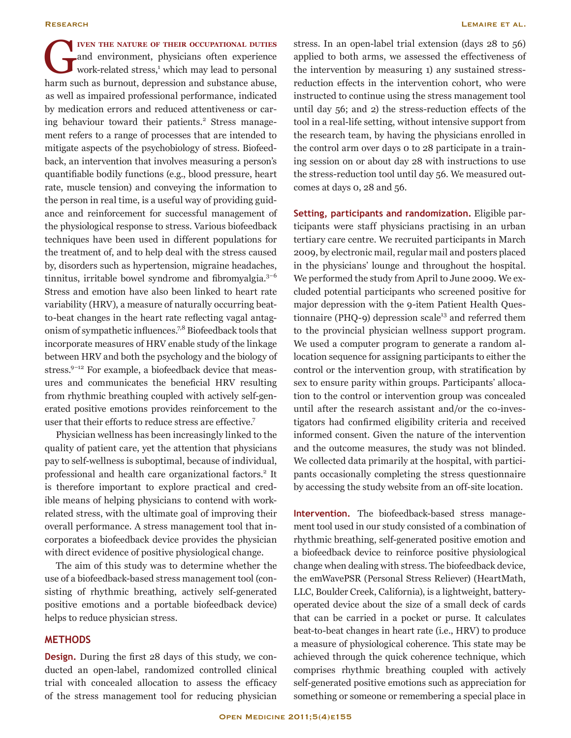G**iven the nature of their occupational duties** and environment, physicians often experience work-related stress,<sup>1</sup> which may lead to personal harm such as burnout, depression and substance abuse, as well as impaired professional performance, indicated by medication errors and reduced attentiveness or caring behaviour toward their patients.<sup>2</sup> Stress management refers to a range of processes that are intended to mitigate aspects of the psychobiology of stress. Biofeedback, an intervention that involves measuring a person's quantifiable bodily functions (e.g., blood pressure, heart rate, muscle tension) and conveying the information to the person in real time, is a useful way of providing guidance and reinforcement for successful management of the physiological response to stress. Various biofeedback techniques have been used in different populations for the treatment of, and to help deal with the stress caused by, disorders such as hypertension, migraine headaches, tinnitus, irritable bowel syndrome and fibromyalgia.<sup>3-6</sup> Stress and emotion have also been linked to heart rate variability (HRV), a measure of naturally occurring beatto-beat changes in the heart rate reflecting vagal antagonism of sympathetic influences.7,8 Biofeedback tools that incorporate measures of HRV enable study of the linkage between HRV and both the psychology and the biology of stress. $9-12$  For example, a biofeedback device that measures and communicates the beneficial HRV resulting from rhythmic breathing coupled with actively self-generated positive emotions provides reinforcement to the user that their efforts to reduce stress are effective.<sup>7</sup>

Physician wellness has been increasingly linked to the quality of patient care, yet the attention that physicians pay to self-wellness is suboptimal, because of individual, professional and health care organizational factors.<sup>2</sup> It is therefore important to explore practical and credible means of helping physicians to contend with workrelated stress, with the ultimate goal of improving their overall performance. A stress management tool that incorporates a biofeedback device provides the physician with direct evidence of positive physiological change.

The aim of this study was to determine whether the use of a biofeedback-based stress management tool (consisting of rhythmic breathing, actively self-generated positive emotions and a portable biofeedback device) helps to reduce physician stress.

# **METHODS**

**Design.** During the first 28 days of this study, we conducted an open-label, randomized controlled clinical trial with concealed allocation to assess the efficacy of the stress management tool for reducing physician stress. In an open-label trial extension (days 28 to 56) applied to both arms, we assessed the effectiveness of the intervention by measuring 1) any sustained stressreduction effects in the intervention cohort, who were instructed to continue using the stress management tool until day 56; and 2) the stress-reduction effects of the tool in a real-life setting, without intensive support from the research team, by having the physicians enrolled in the control arm over days 0 to 28 participate in a training session on or about day 28 with instructions to use the stress-reduction tool until day 56. We measured outcomes at days 0, 28 and 56.

**Setting, participants and randomization.** Eligible participants were staff physicians practising in an urban tertiary care centre. We recruited participants in March 2009, by electronic mail, regular mail and posters placed in the physicians' lounge and throughout the hospital. We performed the study from April to June 2009. We excluded potential participants who screened positive for major depression with the 9-item Patient Health Questionnaire (PHQ-9) depression scale $13$  and referred them to the provincial physician wellness support program. We used a computer program to generate a random allocation sequence for assigning participants to either the control or the intervention group, with stratification by sex to ensure parity within groups. Participants' allocation to the control or intervention group was concealed until after the research assistant and/or the co-investigators had confirmed eligibility criteria and received informed consent. Given the nature of the intervention and the outcome measures, the study was not blinded. We collected data primarily at the hospital, with participants occasionally completing the stress questionnaire by accessing the study website from an off-site location.

**Intervention.** The biofeedback-based stress management tool used in our study consisted of a combination of rhythmic breathing, self-generated positive emotion and a biofeedback device to reinforce positive physiological change when dealing with stress. The biofeedback device, the emWavePSR (Personal Stress Reliever) (HeartMath, LLC, Boulder Creek, California), is a lightweight, batteryoperated device about the size of a small deck of cards that can be carried in a pocket or purse. It calculates beat-to-beat changes in heart rate (i.e., HRV) to produce a measure of physiological coherence. This state may be achieved through the quick coherence technique, which comprises rhythmic breathing coupled with actively self-generated positive emotions such as appreciation for something or someone or remembering a special place in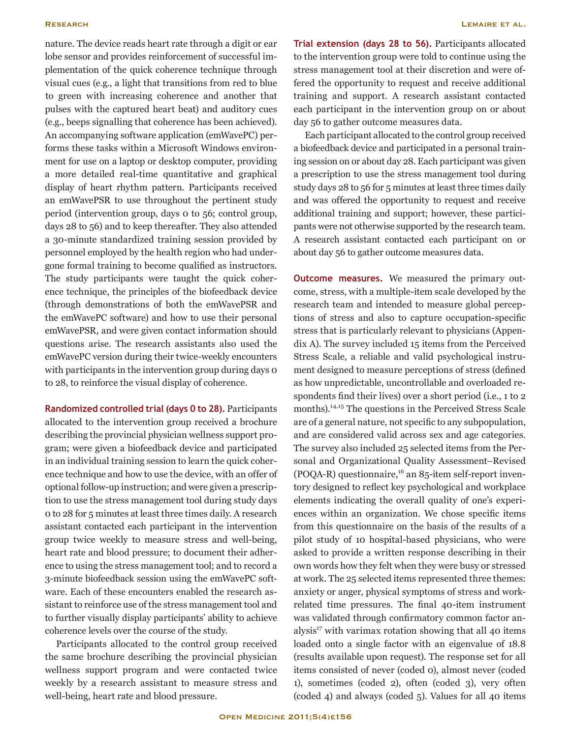nature. The device reads heart rate through a digit or ear lobe sensor and provides reinforcement of successful implementation of the quick coherence technique through visual cues (e.g., a light that transitions from red to blue to green with increasing coherence and another that pulses with the captured heart beat) and auditory cues (e.g., beeps signalling that coherence has been achieved). An accompanying software application (emWavePC) performs these tasks within a Microsoft Windows environment for use on a laptop or desktop computer, providing a more detailed real-time quantitative and graphical display of heart rhythm pattern. Participants received an emWavePSR to use throughout the pertinent study period (intervention group, days 0 to 56; control group, days 28 to 56) and to keep thereafter. They also attended a 30-minute standardized training session provided by personnel employed by the health region who had undergone formal training to become qualified as instructors. The study participants were taught the quick coherence technique, the principles of the biofeedback device (through demonstrations of both the emWavePSR and the emWavePC software) and how to use their personal emWavePSR, and were given contact information should questions arise. The research assistants also used the emWavePC version during their twice-weekly encounters with participants in the intervention group during days o to 28, to reinforce the visual display of coherence.

**Randomized controlled trial (days 0 to 28).** Participants allocated to the intervention group received a brochure describing the provincial physician wellness support program; were given a biofeedback device and participated in an individual training session to learn the quick coherence technique and how to use the device, with an offer of optional follow-up instruction; and were given a prescription to use the stress management tool during study days 0 to 28 for 5 minutes at least three times daily. A research assistant contacted each participant in the intervention group twice weekly to measure stress and well-being, heart rate and blood pressure; to document their adherence to using the stress management tool; and to record a 3-minute biofeedback session using the emWavePC software. Each of these encounters enabled the research assistant to reinforce use of the stress management tool and to further visually display participants' ability to achieve coherence levels over the course of the study.

Participants allocated to the control group received the same brochure describing the provincial physician wellness support program and were contacted twice weekly by a research assistant to measure stress and well-being, heart rate and blood pressure.

**Trial extension (days 28 to 56).** Participants allocated to the intervention group were told to continue using the stress management tool at their discretion and were offered the opportunity to request and receive additional training and support. A research assistant contacted each participant in the intervention group on or about day 56 to gather outcome measures data.

Each participant allocated to the control group received a biofeedback device and participated in a personal training session on or about day 28. Each participant was given a prescription to use the stress management tool during study days 28 to 56 for 5 minutes at least three times daily and was offered the opportunity to request and receive additional training and support; however, these participants were not otherwise supported by the research team. A research assistant contacted each participant on or about day 56 to gather outcome measures data.

**Outcome measures.** We measured the primary outcome, stress, with a multiple-item scale developed by the research team and intended to measure global perceptions of stress and also to capture occupation-specific stress that is particularly relevant to physicians (Appendix A). The survey included 15 items from the Perceived Stress Scale, a reliable and valid psychological instrument designed to measure perceptions of stress (defined as how unpredictable, uncontrollable and overloaded respondents find their lives) over a short period (i.e., 1 to 2 months).<sup>14,15</sup> The questions in the Perceived Stress Scale are of a general nature, not specific to any subpopulation, and are considered valid across sex and age categories. The survey also included 25 selected items from the Personal and Organizational Quality Assessment–Revised (POQA-R) questionnaire, $16$  an 85-item self-report inventory designed to reflect key psychological and workplace elements indicating the overall quality of one's experiences within an organization. We chose specific items from this questionnaire on the basis of the results of a pilot study of 10 hospital-based physicians, who were asked to provide a written response describing in their own words how they felt when they were busy or stressed at work. The 25 selected items represented three themes: anxiety or anger, physical symptoms of stress and workrelated time pressures. The final 40-item instrument was validated through confirmatory common factor analysis $17$  with varimax rotation showing that all 40 items loaded onto a single factor with an eigenvalue of 18.8 (results available upon request). The response set for all items consisted of never (coded 0), almost never (coded 1), sometimes (coded 2), often (coded 3), very often (coded 4) and always (coded 5). Values for all 40 items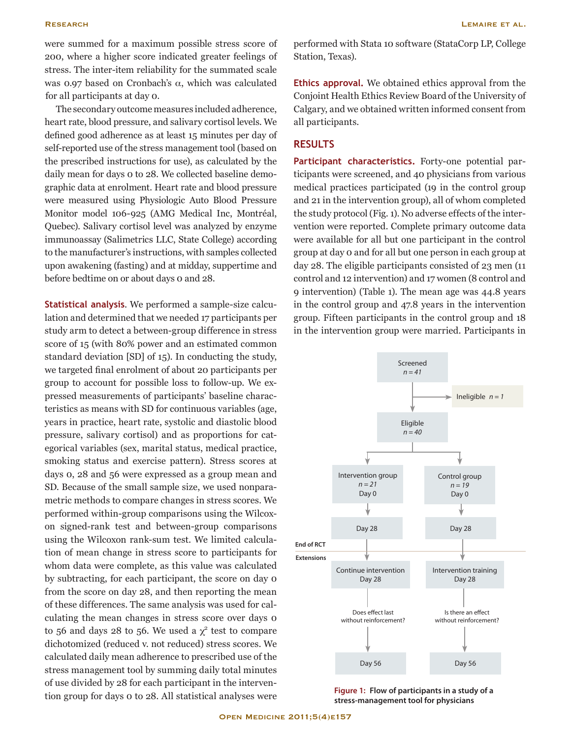were summed for a maximum possible stress score of 200, where a higher score indicated greater feelings of stress. The inter-item reliability for the summated scale was 0.97 based on Cronbach's  $α$ , which was calculated for all participants at day 0.

The secondary outcome measures included adherence, heart rate, blood pressure, and salivary cortisol levels. We defined good adherence as at least 15 minutes per day of self-reported use of the stress management tool (based on the prescribed instructions for use), as calculated by the daily mean for days 0 to 28. We collected baseline demographic data at enrolment. Heart rate and blood pressure were measured using Physiologic Auto Blood Pressure Monitor model 106-925 (AMG Medical Inc, Montréal, Quebec). Salivary cortisol level was analyzed by enzyme immunoassay (Salimetrics LLC, State College) according to the manufacturer's instructions, with samples collected upon awakening (fasting) and at midday, suppertime and before bedtime on or about days 0 and 28.

**Statistical analysis**. We performed a sample-size calculation and determined that we needed 17 participants per study arm to detect a between-group difference in stress score of 15 (with 80% power and an estimated common standard deviation [SD] of 15). In conducting the study, we targeted final enrolment of about 20 participants per group to account for possible loss to follow-up. We expressed measurements of participants' baseline characteristics as means with SD for continuous variables (age, years in practice, heart rate, systolic and diastolic blood pressure, salivary cortisol) and as proportions for categorical variables (sex, marital status, medical practice, smoking status and exercise pattern). Stress scores at days 0, 28 and 56 were expressed as a group mean and SD. Because of the small sample size, we used nonparametric methods to compare changes in stress scores. We performed within-group comparisons using the Wilcoxon signed-rank test and between-group comparisons using the Wilcoxon rank-sum test. We limited calculation of mean change in stress score to participants for whom data were complete, as this value was calculated by subtracting, for each participant, the score on day 0 from the score on day 28, and then reporting the mean of these differences. The same analysis was used for calculating the mean changes in stress score over days 0 to 56 and days 28 to 56. We used a  $\chi^2$  test to compare dichotomized (reduced v. not reduced) stress scores. We calculated daily mean adherence to prescribed use of the stress management tool by summing daily total minutes of use divided by 28 for each participant in the intervention group for days 0 to 28. All statistical analyses were

performed with Stata 10 software (StataCorp LP, College Station, Texas).

**Ethics approval.** We obtained ethics approval from the Conjoint Health Ethics Review Board of the University of Calgary, and we obtained written informed consent from all participants.

# **RESULTS**

**Participant characteristics.** Forty-one potential participants were screened, and 40 physicians from various medical practices participated (19 in the control group and 21 in the intervention group), all of whom completed the study protocol (Fig. 1). No adverse effects of the intervention were reported. Complete primary outcome data were available for all but one participant in the control group at day 0 and for all but one person in each group at day 28. The eligible participants consisted of 23 men (11 control and 12 intervention) and 17 women (8 control and 9 intervention) (Table 1). The mean age was 44.8 years in the control group and 47.8 years in the intervention group. Fifteen participants in the control group and 18 in the intervention group were married. Participants in



**Figure 1: Flow of participants in a study of a stress-management tool for physicians**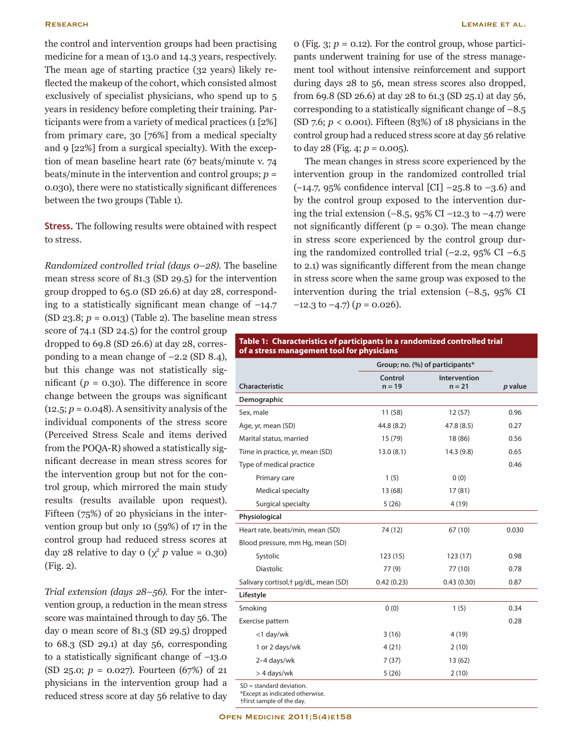the control and intervention groups had been practising medicine for a mean of 13.0 and 14.3 years, respectively. The mean age of starting practice (32 years) likely reflected the makeup of the cohort, which consisted almost exclusively of specialist physicians, who spend up to 5 years in residency before completing their training. Participants were from a variety of medical practices (1 [2%] from primary care, 30 [76%] from a medical specialty and 9 [22%] from a surgical specialty). With the exception of mean baseline heart rate (67 beats/minute v. 74 beats/minute in the intervention and control groups; *p* = 0.030), there were no statistically significant differences between the two groups (Table 1).

**Stress.** The following results were obtained with respect to stress.

*Randomized controlled trial (days 0–28).* The baseline mean stress score of 81.3 (SD 29.5) for the intervention group dropped to 65.0 (SD 26.6) at day 28, corresponding to a statistically significant mean change of  $-14.7$ (SD 23.8; *p* = 0.013) (Table 2). The baseline mean stress

score of 74.1 (SD 24.5) for the control group dropped to 69.8 (SD 26.6) at day 28, corresponding to a mean change of –2.2 (SD 8.4), but this change was not statistically significant ( $p = 0.30$ ). The difference in score change between the groups was significant  $(12.5; p = 0.048)$ . A sensitivity analysis of the individual components of the stress score (Perceived Stress Scale and items derived from the POQA-R) showed a statistically significant decrease in mean stress scores for the intervention group but not for the control group, which mirrored the main study results (results available upon request). Fifteen (75%) of 20 physicians in the intervention group but only 10 (59%) of 17 in the control group had reduced stress scores at day 28 relative to day  $0 \left(\chi^2 p \text{ value} = 0.30\right)$ (Fig. 2).

*Trial extension (days 28–56).* For the intervention group, a reduction in the mean stress score was maintained through to day 56. The day 0 mean score of 81.3 (SD 29.5) dropped to 68.3 (SD 29.1) at day 56, corresponding to a statistically significant change of –13.0 (SD 25.0; *p* = 0.027). Fourteen (67%) of 21 physicians in the intervention group had a reduced stress score at day 56 relative to day

0 (Fig.  $3$ ;  $p = 0.12$ ). For the control group, whose participants underwent training for use of the stress management tool without intensive reinforcement and support during days 28 to 56, mean stress scores also dropped, from 69.8 (SD 26.6) at day 28 to 61.3 (SD 25.1) at day 56, corresponding to a statistically significant change of  $-8.5$ (SD 7.6; *p* < 0.001). Fifteen (83%) of 18 physicians in the control group had a reduced stress score at day 56 relative to day 28 (Fig. 4;  $p = 0.005$ ).

The mean changes in stress score experienced by the intervention group in the randomized controlled trial  $(-14.7, 95\%$  confidence interval [CI]  $-25.8$  to  $-3.6$  and by the control group exposed to the intervention during the trial extension  $(-8.5, 95\% \text{ CI} -12.3 \text{ to } -4.7)$  were not significantly different ( $p = 0.30$ ). The mean change in stress score experienced by the control group during the randomized controlled trial  $(-2.2, 95\% \text{ CI} -6.5)$ to 2.1) was significantly different from the mean change in stress score when the same group was exposed to the intervention during the trial extension (–8.5, 95% CI  $-12.3$  to  $-4.7$ ) ( $p = 0.026$ ).

### **Table 1: Characteristics of participants in a randomized controlled trial of a stress management tool for physicians**

|                                       |                     | Group; no. (%) of participants* |         |
|---------------------------------------|---------------------|---------------------------------|---------|
| Characteristic                        | Control<br>$n = 19$ | <b>Intervention</b><br>$n = 21$ | p value |
| Demographic                           |                     |                                 |         |
| Sex, male                             | 11(58)              | 12(57)                          | 0.96    |
| Age, yr, mean (SD)                    | 44.8 (8.2)          | 47.8 (8.5)                      | 0.27    |
| Marital status, married               | 15 (79)             | 18 (86)                         | 0.56    |
| Time in practice, yr, mean (SD)       | 13.0(8.1)           | 14.3 (9.8)                      | 0.65    |
| Type of medical practice              |                     |                                 | 0.46    |
| Primary care                          | 1(5)                | 0(0)                            |         |
| Medical specialty                     | 13 (68)             | 17(81)                          |         |
| Surgical specialty                    | 5(26)               | 4(19)                           |         |
| Physiological                         |                     |                                 |         |
| Heart rate, beats/min, mean (SD)      | 74 (12)             | 67(10)                          | 0.030   |
| Blood pressure, mm Hg, mean (SD)      |                     |                                 |         |
| Systolic                              | 123(15)             | 123(17)                         | 0.98    |
| <b>Diastolic</b>                      | 77(9)               | 77 (10)                         | 0.78    |
| Salivary cortisol, + µg/dL, mean (SD) | 0.42(0.23)          | 0.43(0.30)                      | 0.87    |
| Lifestyle                             |                     |                                 |         |
| Smoking                               | 0(0)                | 1(5)                            | 0.34    |
| Exercise pattern                      |                     |                                 | 0.28    |
| <1 day/wk                             | 3(16)               | 4(19)                           |         |
| 1 or 2 days/wk                        | 4(21)               | 2(10)                           |         |
| 2-4 days/wk                           | 7(37)               | 13(62)                          |         |
| > 4 days/wk                           | 5(26)               | 2(10)                           |         |
| $SD = standard deviation$ .           |                     |                                 |         |

\*Except as indicated otherwise.

†First sample of the day.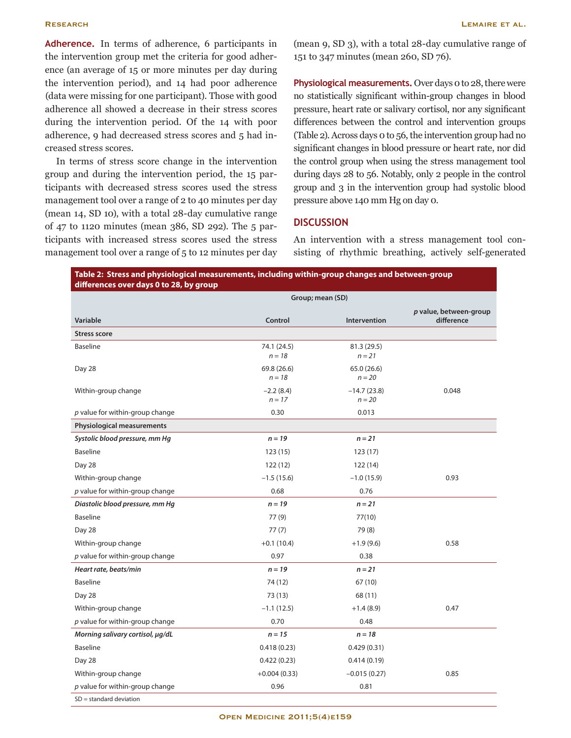**Adherence.** In terms of adherence, 6 participants in the intervention group met the criteria for good adherence (an average of 15 or more minutes per day during the intervention period), and 14 had poor adherence (data were missing for one participant). Those with good adherence all showed a decrease in their stress scores during the intervention period. Of the 14 with poor adherence, 9 had decreased stress scores and 5 had increased stress scores.

In terms of stress score change in the intervention group and during the intervention period, the 15 participants with decreased stress scores used the stress management tool over a range of 2 to 40 minutes per day (mean 14, SD 10), with a total 28-day cumulative range of 47 to 1120 minutes (mean 386, SD 292). The 5 participants with increased stress scores used the stress management tool over a range of 5 to 12 minutes per day

(mean 9, SD 3), with a total 28-day cumulative range of 151 to 347 minutes (mean 260, SD 76).

**Physiological measurements.** Over days 0 to 28, there were no statistically significant within-group changes in blood pressure, heart rate or salivary cortisol, nor any significant differences between the control and intervention groups (Table 2). Across days 0 to 56, the intervention group had no significant changes in blood pressure or heart rate, nor did the control group when using the stress management tool during days 28 to 56. Notably, only 2 people in the control group and 3 in the intervention group had systolic blood pressure above 140 mm Hg on day 0.

# **DISCUSSION**

An intervention with a stress management tool consisting of rhythmic breathing, actively self-generated

|                                   |                         | Group; mean (SD)          |                                      |
|-----------------------------------|-------------------------|---------------------------|--------------------------------------|
| Variable                          | Control                 | Intervention              | p value, between-group<br>difference |
| <b>Stress score</b>               |                         |                           |                                      |
| <b>Baseline</b>                   | 74.1 (24.5)<br>$n = 18$ | 81.3 (29.5)<br>$n = 21$   |                                      |
| Day 28                            | 69.8 (26.6)<br>$n = 18$ | 65.0 (26.6)<br>$n = 20$   |                                      |
| Within-group change               | $-2.2(8.4)$<br>$n = 17$ | $-14.7(23.8)$<br>$n = 20$ | 0.048                                |
| p value for within-group change   | 0.30                    | 0.013                     |                                      |
| <b>Physiological measurements</b> |                         |                           |                                      |
| Systolic blood pressure, mm Hq    | $n = 19$                | $n = 21$                  |                                      |
| <b>Baseline</b>                   | 123(15)                 | 123(17)                   |                                      |
| Day 28                            | 122(12)                 | 122(14)                   |                                      |
| Within-group change               | $-1.5(15.6)$            | $-1.0(15.9)$              | 0.93                                 |
| $p$ value for within-group change | 0.68                    | 0.76                      |                                      |
| Diastolic blood pressure, mm Hg   | $n = 19$                | $n = 21$                  |                                      |
| <b>Baseline</b>                   | 77 (9)                  | 77(10)                    |                                      |
| Day 28                            | 77(7)                   | 79 (8)                    |                                      |
| Within-group change               | $+0.1(10.4)$            | $+1.9(9.6)$               | 0.58                                 |
| $p$ value for within-group change | 0.97                    | 0.38                      |                                      |
| Heart rate, beats/min             | $n = 19$                | $n = 21$                  |                                      |
| <b>Baseline</b>                   | 74 (12)                 | 67 (10)                   |                                      |
| Day 28                            | 73 (13)                 | 68 (11)                   |                                      |
| Within-group change               | $-1.1(12.5)$            | $+1.4(8.9)$               | 0.47                                 |
| $p$ value for within-group change | 0.70                    | 0.48                      |                                      |
| Morning salivary cortisol, µg/dL  | $n = 15$                | $n = 18$                  |                                      |
| <b>Baseline</b>                   | 0.418(0.23)             | 0.429(0.31)               |                                      |
| Day 28                            | 0.422(0.23)             | 0.414(0.19)               |                                      |
| Within-group change               | $+0.004(0.33)$          | $-0.015(0.27)$            | 0.85                                 |
| $p$ value for within-group change | 0.96                    | 0.81                      |                                      |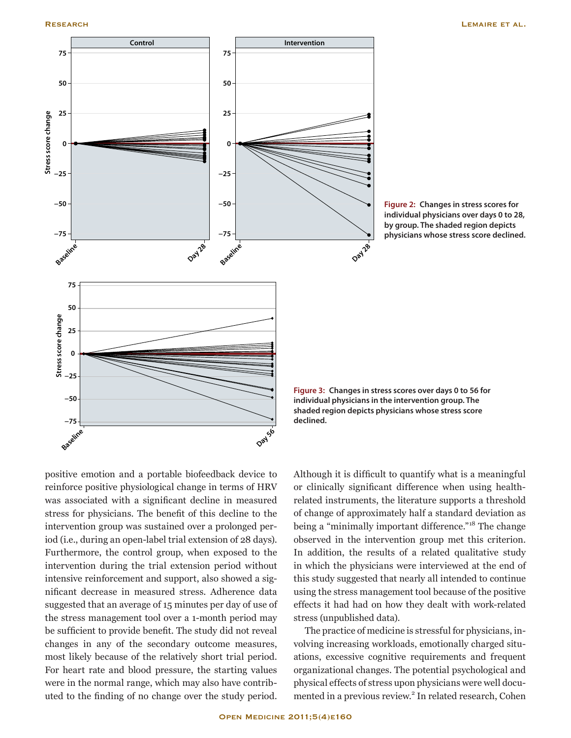





positive emotion and a portable biofeedback device to reinforce positive physiological change in terms of HRV was associated with a significant decline in measured stress for physicians. The benefit of this decline to the intervention group was sustained over a prolonged period (i.e., during an open-label trial extension of 28 days). Furthermore, the control group, when exposed to the intervention during the trial extension period without intensive reinforcement and support, also showed a significant decrease in measured stress. Adherence data suggested that an average of 15 minutes per day of use of the stress management tool over a 1-month period may be sufficient to provide benefit. The study did not reveal changes in any of the secondary outcome measures, most likely because of the relatively short trial period. For heart rate and blood pressure, the starting values were in the normal range, which may also have contributed to the finding of no change over the study period.

Although it is difficult to quantify what is a meaningful or clinically significant difference when using healthrelated instruments, the literature supports a threshold of change of approximately half a standard deviation as being a "minimally important difference."<sup>18</sup> The change observed in the intervention group met this criterion. In addition, the results of a related qualitative study in which the physicians were interviewed at the end of this study suggested that nearly all intended to continue using the stress management tool because of the positive effects it had had on how they dealt with work-related stress (unpublished data).

The practice of medicine is stressful for physicians, involving increasing workloads, emotionally charged situations, excessive cognitive requirements and frequent organizational changes. The potential psychological and physical effects of stress upon physicians were well documented in a previous review.<sup>2</sup> In related research, Cohen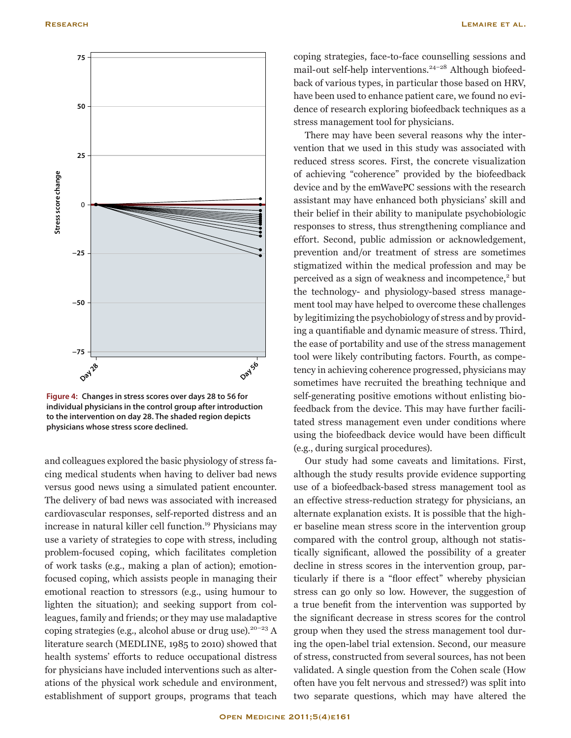

**Figure 4: Changes in stress scores over days 28 to 56 for individual physicians in the control group after introduction to the intervention on day 28. The shaded region depicts physicians whose stress score declined.**

and colleagues explored the basic physiology of stress facing medical students when having to deliver bad news versus good news using a simulated patient encounter. The delivery of bad news was associated with increased cardiovascular responses, self-reported distress and an increase in natural killer cell function.<sup>19</sup> Physicians may use a variety of strategies to cope with stress, including problem-focused coping, which facilitates completion of work tasks (e.g., making a plan of action); emotionfocused coping, which assists people in managing their emotional reaction to stressors (e.g., using humour to lighten the situation); and seeking support from colleagues, family and friends; or they may use maladaptive coping strategies (e.g., alcohol abuse or drug use).<sup>20-23</sup> A literature search (MEDLINE, 1985 to 2010) showed that health systems' efforts to reduce occupational distress for physicians have included interventions such as alterations of the physical work schedule and environment, establishment of support groups, programs that teach coping strategies, face-to-face counselling sessions and mail-out self-help interventions.<sup>24-28</sup> Although biofeedback of various types, in particular those based on HRV, have been used to enhance patient care, we found no evidence of research exploring biofeedback techniques as a stress management tool for physicians.

There may have been several reasons why the intervention that we used in this study was associated with reduced stress scores. First, the concrete visualization of achieving "coherence" provided by the biofeedback device and by the emWavePC sessions with the research assistant may have enhanced both physicians' skill and their belief in their ability to manipulate psychobiologic responses to stress, thus strengthening compliance and effort. Second, public admission or acknowledgement, prevention and/or treatment of stress are sometimes stigmatized within the medical profession and may be perceived as a sign of weakness and incompetence,<sup>2</sup> but the technology- and physiology-based stress management tool may have helped to overcome these challenges by legitimizing the psychobiology of stress and by providing a quantifiable and dynamic measure of stress. Third, the ease of portability and use of the stress management tool were likely contributing factors. Fourth, as competency in achieving coherence progressed, physicians may sometimes have recruited the breathing technique and self-generating positive emotions without enlisting biofeedback from the device. This may have further facilitated stress management even under conditions where using the biofeedback device would have been difficult (e.g., during surgical procedures).

Our study had some caveats and limitations. First, although the study results provide evidence supporting use of a biofeedback-based stress management tool as an effective stress-reduction strategy for physicians, an alternate explanation exists. It is possible that the higher baseline mean stress score in the intervention group compared with the control group, although not statistically significant, allowed the possibility of a greater decline in stress scores in the intervention group, particularly if there is a "floor effect" whereby physician stress can go only so low. However, the suggestion of a true benefit from the intervention was supported by the significant decrease in stress scores for the control group when they used the stress management tool during the open-label trial extension. Second, our measure of stress, constructed from several sources, has not been validated. A single question from the Cohen scale (How often have you felt nervous and stressed?) was split into two separate questions, which may have altered the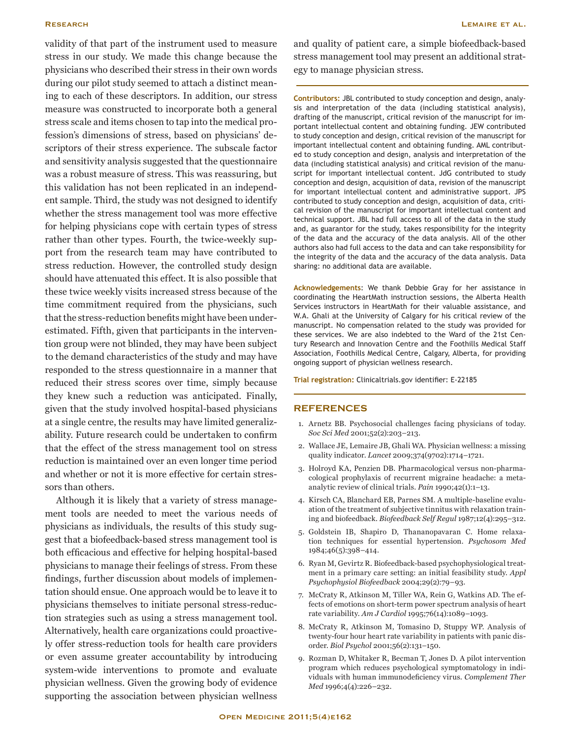validity of that part of the instrument used to measure stress in our study. We made this change because the physicians who described their stress in their own words during our pilot study seemed to attach a distinct meaning to each of these descriptors. In addition, our stress measure was constructed to incorporate both a general stress scale and items chosen to tap into the medical profession's dimensions of stress, based on physicians' descriptors of their stress experience. The subscale factor and sensitivity analysis suggested that the questionnaire was a robust measure of stress. This was reassuring, but this validation has not been replicated in an independent sample. Third, the study was not designed to identify whether the stress management tool was more effective for helping physicians cope with certain types of stress rather than other types. Fourth, the twice-weekly support from the research team may have contributed to stress reduction. However, the controlled study design should have attenuated this effect. It is also possible that these twice weekly visits increased stress because of the time commitment required from the physicians, such that the stress-reduction benefits might have been underestimated. Fifth, given that participants in the intervention group were not blinded, they may have been subject to the demand characteristics of the study and may have responded to the stress questionnaire in a manner that reduced their stress scores over time, simply because they knew such a reduction was anticipated. Finally, given that the study involved hospital-based physicians at a single centre, the results may have limited generalizability. Future research could be undertaken to confirm that the effect of the stress management tool on stress reduction is maintained over an even longer time period and whether or not it is more effective for certain stressors than others.

Although it is likely that a variety of stress management tools are needed to meet the various needs of physicians as individuals, the results of this study suggest that a biofeedback-based stress management tool is both efficacious and effective for helping hospital-based physicians to manage their feelings of stress. From these findings, further discussion about models of implementation should ensue. One approach would be to leave it to physicians themselves to initiate personal stress-reduction strategies such as using a stress management tool. Alternatively, health care organizations could proactively offer stress-reduction tools for health care providers or even assume greater accountability by introducing system-wide interventions to promote and evaluate physician wellness. Given the growing body of evidence supporting the association between physician wellness

and quality of patient care, a simple biofeedback-based stress management tool may present an additional strategy to manage physician stress.

**Contributors:** JBL contributed to study conception and design, analysis and interpretation of the data (including statistical analysis), drafting of the manuscript, critical revision of the manuscript for important intellectual content and obtaining funding. JEW contributed to study conception and design, critical revision of the manuscript for important intellectual content and obtaining funding. AML contributed to study conception and design, analysis and interpretation of the data (including statistical analysis) and critical revision of the manuscript for important intellectual content. JdG contributed to study conception and design, acquisition of data, revision of the manuscript for important intellectual content and administrative support. JPS contributed to study conception and design, acquisition of data, critical revision of the manuscript for important intellectual content and technical support. JBL had full access to all of the data in the study and, as guarantor for the study, takes responsibility for the integrity of the data and the accuracy of the data analysis. All of the other authors also had full access to the data and can take responsibility for the integrity of the data and the accuracy of the data analysis. Data sharing: no additional data are available.

**Acknowledgements**: We thank Debbie Gray for her assistance in coordinating the HeartMath instruction sessions, the Alberta Health Services instructors in HeartMath for their valuable assistance, and W.A. Ghali at the University of Calgary for his critical review of the manuscript. No compensation related to the study was provided for these services. We are also indebted to the Ward of the 21st Century Research and Innovation Centre and the Foothills Medical Staff Association, Foothills Medical Centre, Calgary, Alberta, for providing ongoing support of physician wellness research.

**Trial registration:** Clinicaltrials.gov identifier: E-22185

### **REFERENCES**

- 1. Arnetz BB. Psychosocial challenges facing physicians of today. *Soc Sci Med* 2001;52(2):203–213.
- 2. Wallace JE, Lemaire JB, Ghali WA. Physician wellness: a missing quality indicator. *Lancet* 2009;374(9702):1714–1721.
- 3. Holroyd KA, Penzien DB. Pharmacological versus non-pharmacological prophylaxis of recurrent migraine headache: a metaanalytic review of clinical trials. *Pain* 1990;42(1):1–13.
- 4. Kirsch CA, Blanchard EB, Parnes SM. A multiple-baseline evaluation of the treatment of subjective tinnitus with relaxation training and biofeedback. *Biofeedback Self Regul* 1987;12(4):295–312.
- 5. Goldstein IB, Shapiro D, Thananopavaran C. Home relaxation techniques for essential hypertension. *Psychosom Med*  1984;46(5):398–414.
- 6. Ryan M, Gevirtz R. Biofeedback-based psychophysiological treatment in a primary care setting: an initial feasibility study. *Appl Psychophysiol Biofeedback* 2004;29(2):79–93.
- 7. McCraty R, Atkinson M, Tiller WA, Rein G, Watkins AD. The effects of emotions on short-term power spectrum analysis of heart rate variability. *Am J Cardiol* 1995;76(14):1089–1093.
- 8. McCraty R, Atkinson M, Tomasino D, Stuppy WP. Analysis of twenty-four hour heart rate variability in patients with panic disorder. *Biol Psychol* 2001;56(2):131–150.
- 9. Rozman D, Whitaker R, Becman T, Jones D. A pilot intervention program which reduces psychological symptomatology in individuals with human immunodeficiency virus. *Complement Ther Med* 1996;4(4):226–232.